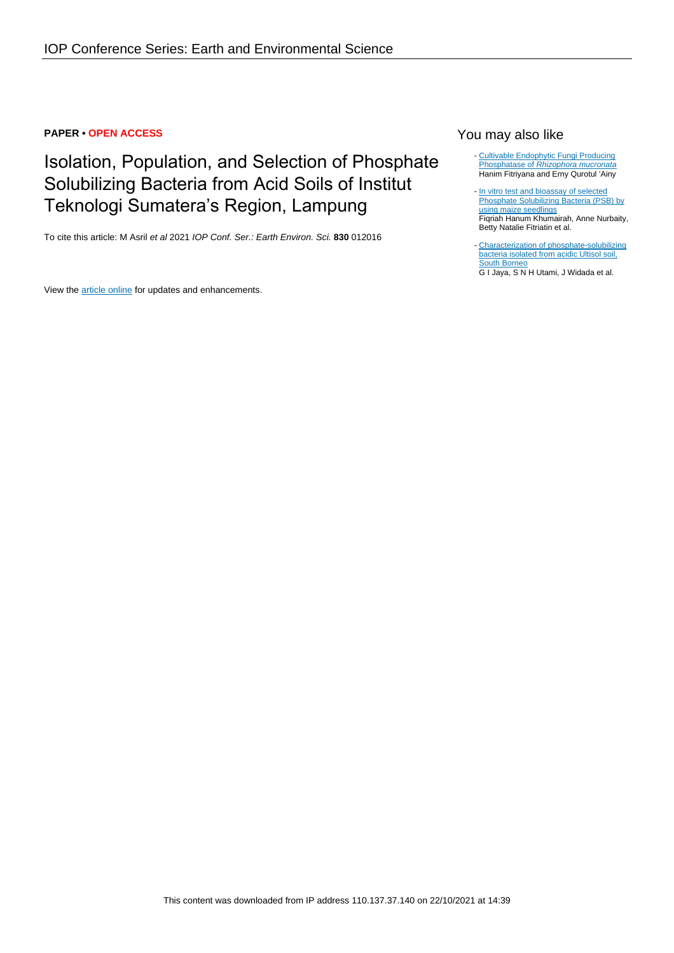#### **PAPER • OPEN ACCESS**

# Isolation, Population, and Selection of Phosphate Solubilizing Bacteria from Acid Soils of Institut Teknologi Sumatera's Region, Lampung

To cite this article: M Asril et al 2021 IOP Conf. Ser.: Earth Environ. Sci. **830** 012016

View the **[article online](https://doi.org/10.1088/1755-1315/830/1/012016)** for updates and enhancements.

### You may also like

- [Cultivable Endophytic Fungi Producing](https://iopscience.iop.org/article/10.1088/1742-6596/1594/1/012002) [Phosphatase of](https://iopscience.iop.org/article/10.1088/1742-6596/1594/1/012002) [R](https://iopscience.iop.org/article/10.1088/1742-6596/1594/1/012002)hizophora mucronata Hanim Fitriyana and Erny Qurotul 'Ainy
- [In vitro test and bioassay of selected](https://iopscience.iop.org/article/10.1088/1755-1315/205/1/012019) [Phosphate Solubilizing Bacteria \(PSB\) by](https://iopscience.iop.org/article/10.1088/1755-1315/205/1/012019) [using maize seedlings](https://iopscience.iop.org/article/10.1088/1755-1315/205/1/012019) Fiqriah Hanum Khumairah, Anne Nurbaity, Betty Natalie Fitriatin et al. -
- [Characterization of phosphate-solubilizing](https://iopscience.iop.org/article/10.1088/1755-1315/449/1/012005) **[bacteria isolated from acidic Ultisol soil,](https://iopscience.iop.org/article/10.1088/1755-1315/449/1/012005)** [South Borneo](https://iopscience.iop.org/article/10.1088/1755-1315/449/1/012005) G I Jaya, S N H Utami, J Widada et al.

This content was downloaded from IP address 110.137.37.140 on 22/10/2021 at 14:39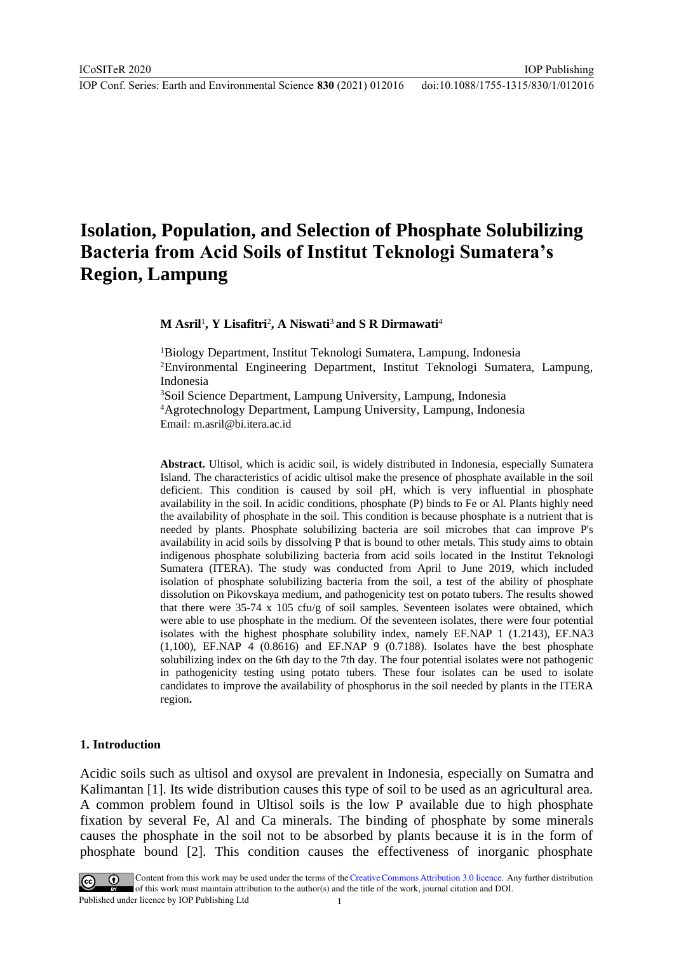IOP Publishing

# **Isolation, Population, and Selection of Phosphate Solubilizing Bacteria from Acid Soils of Institut Teknologi Sumatera's Region, Lampung**

**M Asril**<sup>1</sup> **, Y Lisafitri**<sup>2</sup> **, A Niswati**<sup>3</sup> **and S R Dirmawati**<sup>4</sup>

<sup>1</sup>Biology Department, Institut Teknologi Sumatera, Lampung, Indonesia <sup>2</sup>Environmental Engineering Department, Institut Teknologi Sumatera, Lampung, Indonesia

<sup>3</sup>Soil Science Department, Lampung University, Lampung, Indonesia <sup>4</sup>Agrotechnology Department, Lampung University, Lampung, Indonesia Email: m.asril@bi.itera.ac.id

**Abstract.** Ultisol, which is acidic soil, is widely distributed in Indonesia, especially Sumatera Island. The characteristics of acidic ultisol make the presence of phosphate available in the soil deficient. This condition is caused by soil pH, which is very influential in phosphate availability in the soil. In acidic conditions, phosphate (P) binds to Fe or Al. Plants highly need the availability of phosphate in the soil. This condition is because phosphate is a nutrient that is needed by plants. Phosphate solubilizing bacteria are soil microbes that can improve P's availability in acid soils by dissolving P that is bound to other metals. This study aims to obtain indigenous phosphate solubilizing bacteria from acid soils located in the Institut Teknologi Sumatera (ITERA). The study was conducted from April to June 2019, which included isolation of phosphate solubilizing bacteria from the soil, a test of the ability of phosphate dissolution on Pikovskaya medium, and pathogenicity test on potato tubers. The results showed that there were 35-74 x 105 cfu/g of soil samples. Seventeen isolates were obtained, which were able to use phosphate in the medium. Of the seventeen isolates, there were four potential isolates with the highest phosphate solubility index, namely EF.NAP 1 (1.2143), EF.NA3  $(1,100)$ , EF.NAP 4  $(0.8616)$  and EF.NAP 9  $(0.7188)$ . Isolates have the best phosphate solubilizing index on the 6th day to the 7th day. The four potential isolates were not pathogenic in pathogenicity testing using potato tubers. These four isolates can be used to isolate candidates to improve the availability of phosphorus in the soil needed by plants in the ITERA region**.**

#### **1. Introduction**

Acidic soils such as ultisol and oxysol are prevalent in Indonesia, especially on Sumatra and Kalimantan [1]. Its wide distribution causes this type of soil to be used as an agricultural area. A common problem found in Ultisol soils is the low P available due to high phosphate fixation by several Fe, Al and Ca minerals. The binding of phosphate by some minerals causes the phosphate in the soil not to be absorbed by plants because it is in the form of phosphate bound [2]. This condition causes the effectiveness of inorganic phosphate



Content from this work may be used under the terms of the Creative Commons Attribution 3.0 licence. Any further distribution of this work must maintain attribution to the author(s) and the title of the work, journal citation and DOI. Published under licence by IOP Publishing Ltd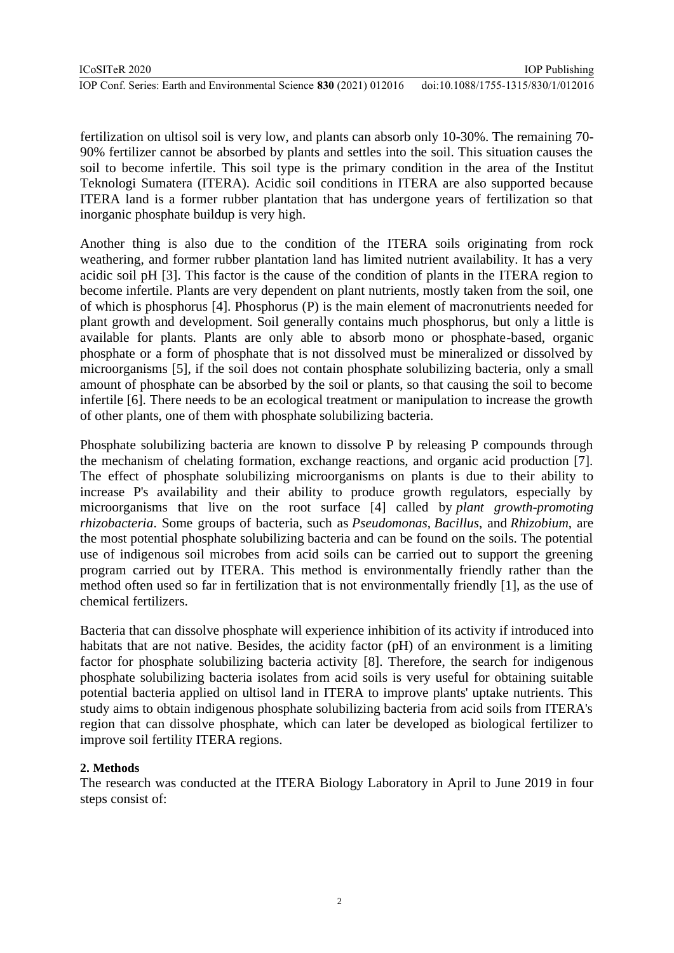fertilization on ultisol soil is very low, and plants can absorb only 10-30%. The remaining 70- 90% fertilizer cannot be absorbed by plants and settles into the soil. This situation causes the soil to become infertile. This soil type is the primary condition in the area of the Institut Teknologi Sumatera (ITERA). Acidic soil conditions in ITERA are also supported because ITERA land is a former rubber plantation that has undergone years of fertilization so that inorganic phosphate buildup is very high.

Another thing is also due to the condition of the ITERA soils originating from rock weathering, and former rubber plantation land has limited nutrient availability. It has a very acidic soil pH [3]. This factor is the cause of the condition of plants in the ITERA region to become infertile. Plants are very dependent on plant nutrients, mostly taken from the soil, one of which is phosphorus [4]. Phosphorus (P) is the main element of macronutrients needed for plant growth and development. Soil generally contains much phosphorus, but only a little is available for plants. Plants are only able to absorb mono or phosphate-based, organic phosphate or a form of phosphate that is not dissolved must be mineralized or dissolved by microorganisms [5], if the soil does not contain phosphate solubilizing bacteria, only a small amount of phosphate can be absorbed by the soil or plants, so that causing the soil to become infertile [6]. There needs to be an ecological treatment or manipulation to increase the growth of other plants, one of them with phosphate solubilizing bacteria.

Phosphate solubilizing bacteria are known to dissolve P by releasing P compounds through the mechanism of chelating formation, exchange reactions, and organic acid production [7]. The effect of phosphate solubilizing microorganisms on plants is due to their ability to increase P's availability and their ability to produce growth regulators, especially by microorganisms that live on the root surface [4] called by *plant growth-promoting rhizobacteria*. Some groups of bacteria, such as *Pseudomonas*, *Bacillus*, and *Rhizobium*, are the most potential phosphate solubilizing bacteria and can be found on the soils. The potential use of indigenous soil microbes from acid soils can be carried out to support the greening program carried out by ITERA. This method is environmentally friendly rather than the method often used so far in fertilization that is not environmentally friendly [1], as the use of chemical fertilizers.

Bacteria that can dissolve phosphate will experience inhibition of its activity if introduced into habitats that are not native. Besides, the acidity factor (pH) of an environment is a limiting factor for phosphate solubilizing bacteria activity [8]. Therefore, the search for indigenous phosphate solubilizing bacteria isolates from acid soils is very useful for obtaining suitable potential bacteria applied on ultisol land in ITERA to improve plants' uptake nutrients. This study aims to obtain indigenous phosphate solubilizing bacteria from acid soils from ITERA's region that can dissolve phosphate, which can later be developed as biological fertilizer to improve soil fertility ITERA regions.

# **2. Methods**

The research was conducted at the ITERA Biology Laboratory in April to June 2019 in four steps consist of: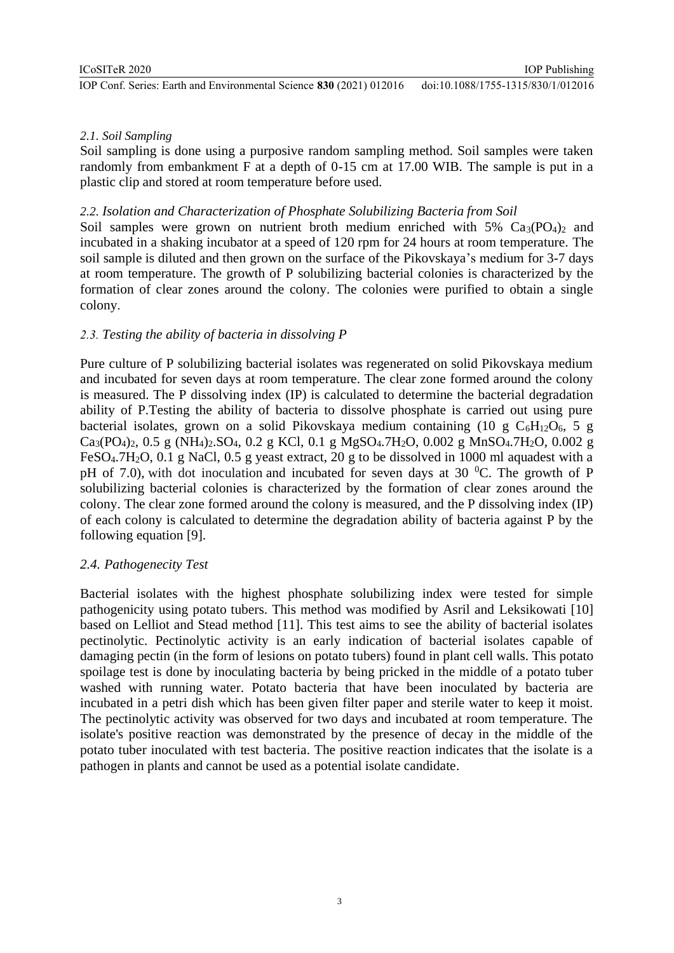IOP Publishing

## *2.1. Soil Sampling*

Soil sampling is done using a purposive random sampling method. Soil samples were taken randomly from embankment F at a depth of 0-15 cm at 17.00 WIB. The sample is put in a plastic clip and stored at room temperature before used.

## *2.2. Isolation and Characterization of Phosphate Solubilizing Bacteria from Soil*

Soil samples were grown on nutrient broth medium enriched with  $5\%$   $Ca_{3}(PO_{4})_{2}$  and incubated in a shaking incubator at a speed of 120 rpm for 24 hours at room temperature. The soil sample is diluted and then grown on the surface of the Pikovskaya's medium for 3-7 days at room temperature. The growth of P solubilizing bacterial colonies is characterized by the formation of clear zones around the colony. The colonies were purified to obtain a single colony.

## *2.3. Testing the ability of bacteria in dissolving P*

Pure culture of P solubilizing bacterial isolates was regenerated on solid Pikovskaya medium and incubated for seven days at room temperature. The clear zone formed around the colony is measured. The P dissolving index (IP) is calculated to determine the bacterial degradation ability of P.Testing the ability of bacteria to dissolve phosphate is carried out using pure bacterial isolates, grown on a solid Pikovskaya medium containing (10 g  $C_6H_{12}O_6$ , 5 g  $Ca_3(PO_4)_2$ , 0.5 g (NH<sub>4</sub>)<sub>2</sub>.SO<sub>4</sub>, 0.2 g KCl, 0.1 g MgSO<sub>4</sub>.7H<sub>2</sub>O, 0.002 g MnSO<sub>4</sub>.7H<sub>2</sub>O, 0.002 g FeSO<sub>4</sub>.7H<sub>2</sub>O, 0.1 g NaCl, 0.5 g yeast extract, 20 g to be dissolved in 1000 ml aquadest with a pH of 7.0), with dot inoculation and incubated for seven days at 30  $^{\circ}$ C. The growth of P solubilizing bacterial colonies is characterized by the formation of clear zones around the colony. The clear zone formed around the colony is measured, and the P dissolving index (IP) of each colony is calculated to determine the degradation ability of bacteria against P by the following equation [9].

### *2.4. Pathogenecity Test*

Bacterial isolates with the highest phosphate solubilizing index were tested for simple pathogenicity using potato tubers. This method was modified by Asril and Leksikowati [10] based on Lelliot and Stead method [11]. This test aims to see the ability of bacterial isolates pectinolytic. Pectinolytic activity is an early indication of bacterial isolates capable of damaging pectin (in the form of lesions on potato tubers) found in plant cell walls. This potato spoilage test is done by inoculating bacteria by being pricked in the middle of a potato tuber washed with running water. Potato bacteria that have been inoculated by bacteria are incubated in a petri dish which has been given filter paper and sterile water to keep it moist. The pectinolytic activity was observed for two days and incubated at room temperature. The isolate's positive reaction was demonstrated by the presence of decay in the middle of the potato tuber inoculated with test bacteria. The positive reaction indicates that the isolate is a pathogen in plants and cannot be used as a potential isolate candidate*.*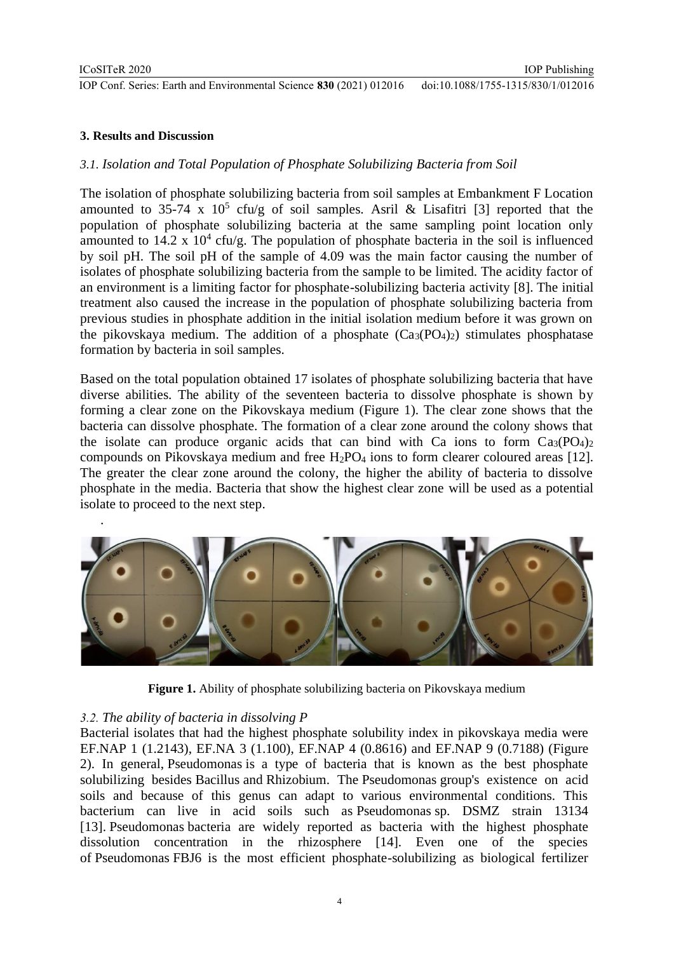.

IOP Conf. Series: Earth and Environmental Science **830** (2021) 012016 doi:10.1088/1755-1315/830/1/012016

IOP Publishing

#### **3. Results and Discussion**

### *3.1. Isolation and Total Population of Phosphate Solubilizing Bacteria from Soil*

The isolation of phosphate solubilizing bacteria from soil samples at Embankment F Location amounted to 35-74 x  $10^5$  cfu/g of soil samples. Asril & Lisafitri [3] reported that the population of phosphate solubilizing bacteria at the same sampling point location only amounted to  $14.2 \times 10^4$  cfu/g. The population of phosphate bacteria in the soil is influenced by soil pH. The soil pH of the sample of 4.09 was the main factor causing the number of isolates of phosphate solubilizing bacteria from the sample to be limited. The acidity factor of an environment is a limiting factor for phosphate-solubilizing bacteria activity [8]. The initial treatment also caused the increase in the population of phosphate solubilizing bacteria from previous studies in phosphate addition in the initial isolation medium before it was grown on the pikovskaya medium. The addition of a phosphate  $(Ca_3(PO_4)_2)$  stimulates phosphatase formation by bacteria in soil samples.

Based on the total population obtained 17 isolates of phosphate solubilizing bacteria that have diverse abilities. The ability of the seventeen bacteria to dissolve phosphate is shown by forming a clear zone on the Pikovskaya medium (Figure 1). The clear zone shows that the bacteria can dissolve phosphate. The formation of a clear zone around the colony shows that the isolate can produce organic acids that can bind with Ca ions to form  $Ca_3(PO_4)_2$ compounds on Pikovskaya medium and free  $H_2PO_4$  ions to form clearer coloured areas [12]. The greater the clear zone around the colony, the higher the ability of bacteria to dissolve phosphate in the media. Bacteria that show the highest clear zone will be used as a potential isolate to proceed to the next step.



**Figure 1.** Ability of phosphate solubilizing bacteria on Pikovskaya medium

# *3.2. The ability of bacteria in dissolving P*

Bacterial isolates that had the highest phosphate solubility index in pikovskaya media were EF.NAP 1 (1.2143), EF.NA 3 (1.100), EF.NAP 4 (0.8616) and EF.NAP 9 (0.7188) (Figure 2). In general, Pseudomonas is a type of bacteria that is known as the best phosphate solubilizing besides Bacillus and Rhizobium. The Pseudomonas group's existence on acid soils and because of this genus can adapt to various environmental conditions. This bacterium can live in acid soils such as Pseudomonas sp. DSMZ strain 13134 [13]. Pseudomonas bacteria are widely reported as bacteria with the highest phosphate dissolution concentration in the rhizosphere [14]. Even one of the species of Pseudomonas FBJ6 is the most efficient phosphate-solubilizing as biological fertilizer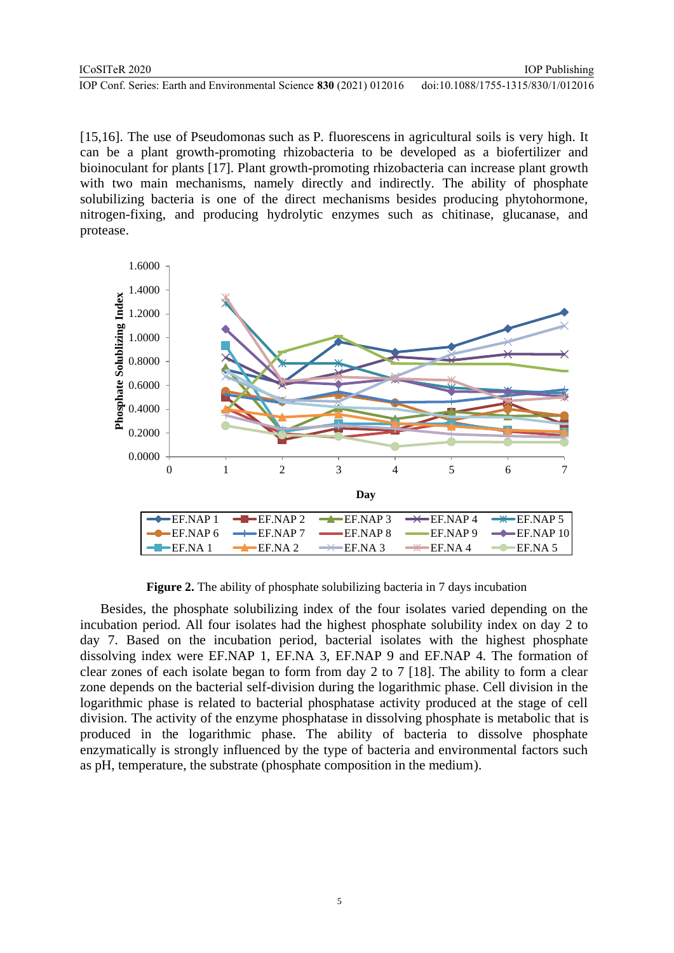[15,16]. The use of Pseudomonas such as P. fluorescens in agricultural soils is very high. It can be a plant growth-promoting rhizobacteria to be developed as a biofertilizer and bioinoculant for plants [17]. Plant growth-promoting rhizobacteria can increase plant growth with two main mechanisms, namely directly and indirectly. The ability of phosphate solubilizing bacteria is one of the direct mechanisms besides producing phytohormone, nitrogen-fixing, and producing hydrolytic enzymes such as chitinase, glucanase, and protease.



**Figure 2.** The ability of phosphate solubilizing bacteria in 7 days incubation

Besides, the phosphate solubilizing index of the four isolates varied depending on the incubation period. All four isolates had the highest phosphate solubility index on day 2 to day 7. Based on the incubation period, bacterial isolates with the highest phosphate dissolving index were EF.NAP 1, EF.NA 3, EF.NAP 9 and EF.NAP 4. The formation of clear zones of each isolate began to form from day 2 to 7 [18]. The ability to form a clear zone depends on the bacterial self-division during the logarithmic phase. Cell division in the logarithmic phase is related to bacterial phosphatase activity produced at the stage of cell division. The activity of the enzyme phosphatase in dissolving phosphate is metabolic that is produced in the logarithmic phase. The ability of bacteria to dissolve phosphate enzymatically is strongly influenced by the type of bacteria and environmental factors such as pH, temperature, the substrate (phosphate composition in the medium).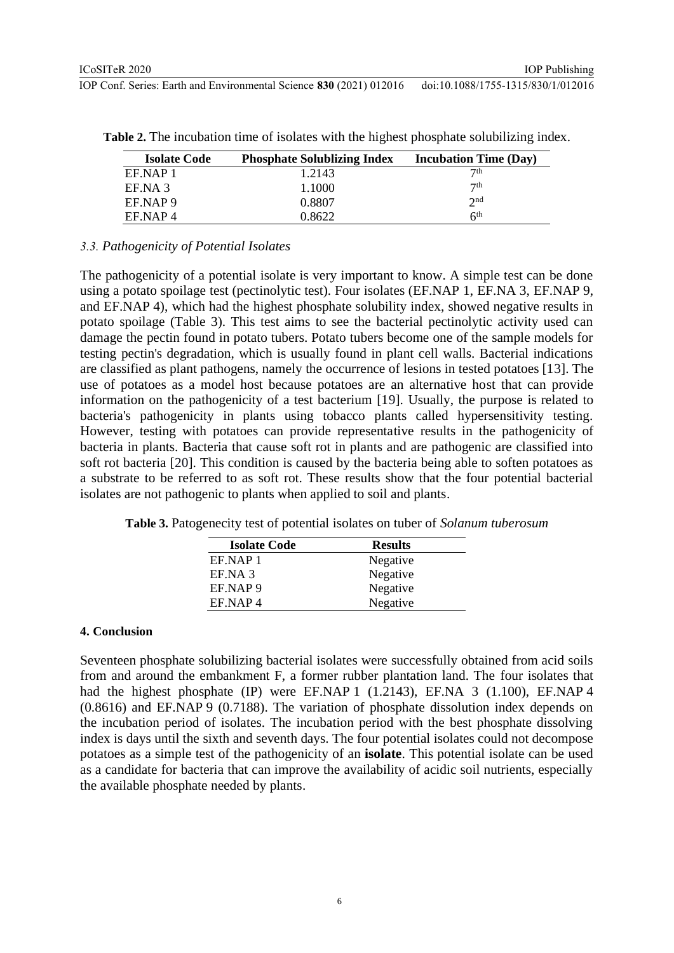| <b>Isolate Code</b> | <b>Phosphate Solublizing Index</b> | <b>Incubation Time (Day)</b> |
|---------------------|------------------------------------|------------------------------|
| EF NAP 1            | 1.2143                             | 7 <sup>th</sup>              |
| EF.NA 3             | 1.1000                             | 7 <sup>th</sup>              |
| EF NAP 9            | 0.8807                             | 2nd                          |
| EF NAP4             | 0.8622                             | 6 <sup>th</sup>              |

**Table 2.** The incubation time of isolates with the highest phosphate solubilizing index.

#### *3.3. Pathogenicity of Potential Isolates*

The pathogenicity of a potential isolate is very important to know. A simple test can be done using a potato spoilage test (pectinolytic test). Four isolates (EF.NAP 1, EF.NA 3, EF.NAP 9, and EF.NAP 4), which had the highest phosphate solubility index, showed negative results in potato spoilage (Table 3). This test aims to see the bacterial pectinolytic activity used can damage the pectin found in potato tubers. Potato tubers become one of the sample models for testing pectin's degradation, which is usually found in plant cell walls. Bacterial indications are classified as plant pathogens, namely the occurrence of lesions in tested potatoes [13]. The use of potatoes as a model host because potatoes are an alternative host that can provide information on the pathogenicity of a test bacterium [19]. Usually, the purpose is related to bacteria's pathogenicity in plants using tobacco plants called hypersensitivity testing. However, testing with potatoes can provide representative results in the pathogenicity of bacteria in plants. Bacteria that cause soft rot in plants and are pathogenic are classified into soft rot bacteria [20]. This condition is caused by the bacteria being able to soften potatoes as a substrate to be referred to as soft rot. These results show that the four potential bacterial isolates are not pathogenic to plants when applied to soil and plants.

**Table 3.** Patogenecity test of potential isolates on tuber of *Solanum tuberosum*

| <b>Isolate Code</b> | <b>Results</b> |
|---------------------|----------------|
| EF.NAP 1            | Negative       |
| EF.NA 3             | Negative       |
| EF.NAP 9            | Negative       |
| EF NAP <sub>4</sub> | Negative       |

#### **4. Conclusion**

Seventeen phosphate solubilizing bacterial isolates were successfully obtained from acid soils from and around the embankment F, a former rubber plantation land. The four isolates that had the highest phosphate (IP) were EF.NAP 1 (1.2143), EF.NA 3 (1.100), EF.NAP 4 (0.8616) and EF.NAP 9 (0.7188). The variation of phosphate dissolution index depends on the incubation period of isolates. The incubation period with the best phosphate dissolving index is days until the sixth and seventh days. The four potential isolates could not decompose potatoes as a simple test of the pathogenicity of an **isolate**. This potential isolate can be used as a candidate for bacteria that can improve the availability of acidic soil nutrients, especially the available phosphate needed by plants.